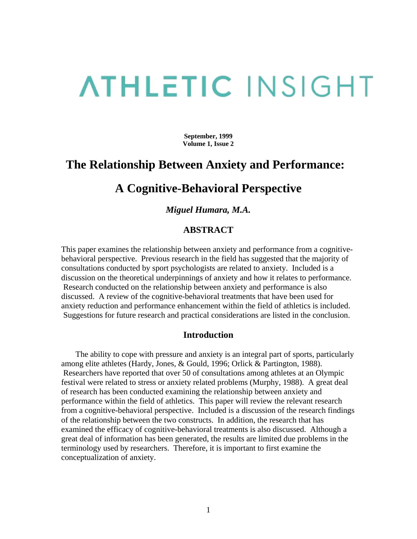# **ATHLETIC INSIGHT**

**September, 1999 Volume 1, Issue 2**

## **The Relationship Between Anxiety and Performance:**

### **A Cognitive-Behavioral Perspective**

#### *Miguel Humara, M.A.*

#### **ABSTRACT**

This paper examines the relationship between anxiety and performance from a cognitivebehavioral perspective. Previous research in the field has suggested that the majority of consultations conducted by sport psychologists are related to anxiety. Included is a discussion on the theoretical underpinnings of anxiety and how it relates to performance. Research conducted on the relationship between anxiety and performance is also discussed. A review of the cognitive-behavioral treatments that have been used for anxiety reduction and performance enhancement within the field of athletics is included. Suggestions for future research and practical considerations are listed in the conclusion.

#### **Introduction**

 The ability to cope with pressure and anxiety is an integral part of sports, particularly among elite athletes (Hardy, Jones, & Gould, 1996; Orlick & Partington, 1988). Researchers have reported that over 50 of consultations among athletes at an Olympic festival were related to stress or anxiety related problems (Murphy, 1988). A great deal of research has been conducted examining the relationship between anxiety and performance within the field of athletics. This paper will review the relevant research from a cognitive-behavioral perspective. Included is a discussion of the research findings of the relationship between the two constructs. In addition, the research that has examined the efficacy of cognitive-behavioral treatments is also discussed. Although a great deal of information has been generated, the results are limited due problems in the terminology used by researchers. Therefore, it is important to first examine the conceptualization of anxiety.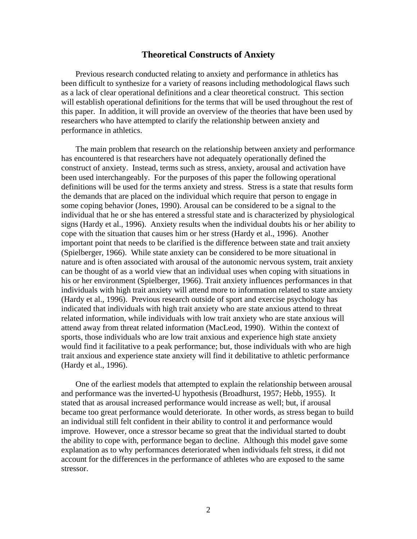#### **Theoretical Constructs of Anxiety**

 Previous research conducted relating to anxiety and performance in athletics has been difficult to synthesize for a variety of reasons including methodological flaws such as a lack of clear operational definitions and a clear theoretical construct. This section will establish operational definitions for the terms that will be used throughout the rest of this paper. In addition, it will provide an overview of the theories that have been used by researchers who have attempted to clarify the relationship between anxiety and performance in athletics.

 The main problem that research on the relationship between anxiety and performance has encountered is that researchers have not adequately operationally defined the construct of anxiety. Instead, terms such as stress, anxiety, arousal and activation have been used interchangeably. For the purposes of this paper the following operational definitions will be used for the terms anxiety and stress. Stress is a state that results form the demands that are placed on the individual which require that person to engage in some coping behavior (Jones, 1990). Arousal can be considered to be a signal to the individual that he or she has entered a stressful state and is characterized by physiological signs (Hardy et al., 1996). Anxiety results when the individual doubts his or her ability to cope with the situation that causes him or her stress (Hardy et al., 1996). Another important point that needs to be clarified is the difference between state and trait anxiety (Spielberger, 1966). While state anxiety can be considered to be more situational in nature and is often associated with arousal of the autonomic nervous system, trait anxiety can be thought of as a world view that an individual uses when coping with situations in his or her environment (Spielberger, 1966). Trait anxiety influences performances in that individuals with high trait anxiety will attend more to information related to state anxiety (Hardy et al., 1996). Previous research outside of sport and exercise psychology has indicated that individuals with high trait anxiety who are state anxious attend to threat related information, while individuals with low trait anxiety who are state anxious will attend away from threat related information (MacLeod, 1990). Within the context of sports, those individuals who are low trait anxious and experience high state anxiety would find it facilitative to a peak performance; but, those individuals with who are high trait anxious and experience state anxiety will find it debilitative to athletic performance (Hardy et al., 1996).

 One of the earliest models that attempted to explain the relationship between arousal and performance was the inverted-U hypothesis (Broadhurst, 1957; Hebb, 1955). It stated that as arousal increased performance would increase as well; but, if arousal became too great performance would deteriorate. In other words, as stress began to build an individual still felt confident in their ability to control it and performance would improve. However, once a stressor became so great that the individual started to doubt the ability to cope with, performance began to decline. Although this model gave some explanation as to why performances deteriorated when individuals felt stress, it did not account for the differences in the performance of athletes who are exposed to the same stressor.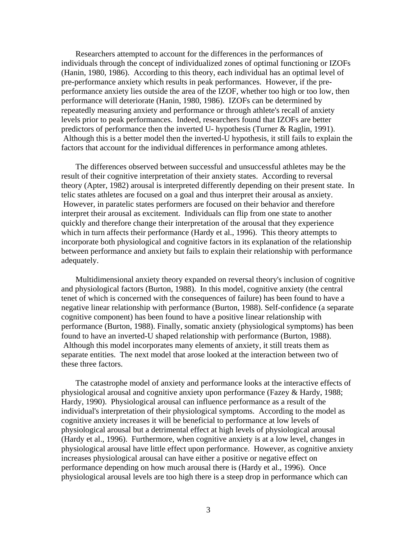Researchers attempted to account for the differences in the performances of individuals through the concept of individualized zones of optimal functioning or IZOFs (Hanin, 1980, 1986). According to this theory, each individual has an optimal level of pre-performance anxiety which results in peak performances. However, if the preperformance anxiety lies outside the area of the IZOF, whether too high or too low, then performance will deteriorate (Hanin, 1980, 1986). IZOFs can be determined by repeatedly measuring anxiety and performance or through athlete's recall of anxiety levels prior to peak performances. Indeed, researchers found that IZOFs are better predictors of performance then the inverted U- hypothesis (Turner & Raglin, 1991). Although this is a better model then the inverted-U hypothesis, it still fails to explain the factors that account for the individual differences in performance among athletes.

 The differences observed between successful and unsuccessful athletes may be the result of their cognitive interpretation of their anxiety states. According to reversal theory (Apter, 1982) arousal is interpreted differently depending on their present state. In telic states athletes are focused on a goal and thus interpret their arousal as anxiety. However, in paratelic states performers are focused on their behavior and therefore interpret their arousal as excitement. Individuals can flip from one state to another quickly and therefore change their interpretation of the arousal that they experience which in turn affects their performance (Hardy et al., 1996). This theory attempts to incorporate both physiological and cognitive factors in its explanation of the relationship between performance and anxiety but fails to explain their relationship with performance adequately.

 Multidimensional anxiety theory expanded on reversal theory's inclusion of cognitive and physiological factors (Burton, 1988). In this model, cognitive anxiety (the central tenet of which is concerned with the consequences of failure) has been found to have a negative linear relationship with performance (Burton, 1988). Self-confidence (a separate cognitive component) has been found to have a positive linear relationship with performance (Burton, 1988). Finally, somatic anxiety (physiological symptoms) has been found to have an inverted-U shaped relationship with performance (Burton, 1988). Although this model incorporates many elements of anxiety, it still treats them as separate entities. The next model that arose looked at the interaction between two of these three factors.

 The catastrophe model of anxiety and performance looks at the interactive effects of physiological arousal and cognitive anxiety upon performance (Fazey & Hardy, 1988; Hardy, 1990). Physiological arousal can influence performance as a result of the individual's interpretation of their physiological symptoms. According to the model as cognitive anxiety increases it will be beneficial to performance at low levels of physiological arousal but a detrimental effect at high levels of physiological arousal (Hardy et al., 1996). Furthermore, when cognitive anxiety is at a low level, changes in physiological arousal have little effect upon performance. However, as cognitive anxiety increases physiological arousal can have either a positive or negative effect on performance depending on how much arousal there is (Hardy et al., 1996). Once physiological arousal levels are too high there is a steep drop in performance which can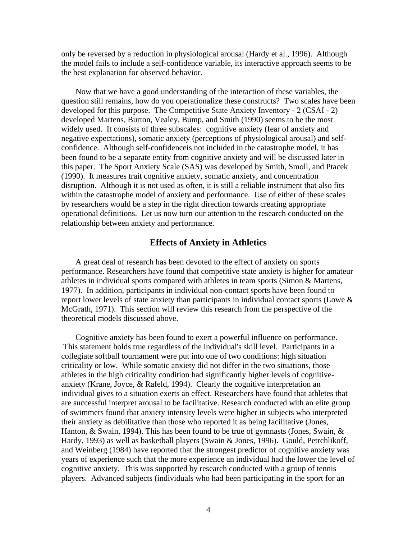only be reversed by a reduction in physiological arousal (Hardy et al., 1996). Although the model fails to include a self-confidence variable, its interactive approach seems to be the best explanation for observed behavior.

 Now that we have a good understanding of the interaction of these variables, the question still remains, how do you operationalize these constructs? Two scales have been developed for this purpose. The Competitive State Anxiety Inventory - 2 (CSAI - 2) developed Martens, Burton, Vealey, Bump, and Smith (1990) seems to be the most widely used. It consists of three subscales: cognitive anxiety (fear of anxiety and negative expectations), somatic anxiety (perceptions of physiological arousal) and selfconfidence. Although self-confidenceis not included in the catastrophe model, it has been found to be a separate entity from cognitive anxiety and will be discussed later in this paper. The Sport Anxiety Scale (SAS) was developed by Smith, Smoll, and Ptacek (1990). It measures trait cognitive anxiety, somatic anxiety, and concentration disruption. Although it is not used as often, it is still a reliable instrument that also fits within the catastrophe model of anxiety and performance. Use of either of these scales by researchers would be a step in the right direction towards creating appropriate operational definitions. Let us now turn our attention to the research conducted on the relationship between anxiety and performance.

#### **Effects of Anxiety in Athletics**

 A great deal of research has been devoted to the effect of anxiety on sports performance. Researchers have found that competitive state anxiety is higher for amateur athletes in individual sports compared with athletes in team sports (Simon & Martens, 1977). In addition, participants in individual non-contact sports have been found to report lower levels of state anxiety than participants in individual contact sports (Lowe & McGrath, 1971). This section will review this research from the perspective of the theoretical models discussed above.

 Cognitive anxiety has been found to exert a powerful influence on performance. This statement holds true regardless of the individual's skill level. Participants in a collegiate softball tournament were put into one of two conditions: high situation criticality or low. While somatic anxiety did not differ in the two situations, those athletes in the high criticality condition had significantly higher levels of cognitiveanxiety (Krane, Joyce, & Rafeld, 1994). Clearly the cognitive interpretation an individual gives to a situation exerts an effect. Researchers have found that athletes that are successful interpret arousal to be facilitative. Research conducted with an elite group of swimmers found that anxiety intensity levels were higher in subjects who interpreted their anxiety as debilitative than those who reported it as being facilitative (Jones, Hanton, & Swain, 1994). This has been found to be true of gymnasts (Jones, Swain, & Hardy, 1993) as well as basketball players (Swain & Jones, 1996). Gould, Petrchlikoff, and Weinberg (1984) have reported that the strongest predictor of cognitive anxiety was years of experience such that the more experience an individual had the lower the level of cognitive anxiety. This was supported by research conducted with a group of tennis players. Advanced subjects (individuals who had been participating in the sport for an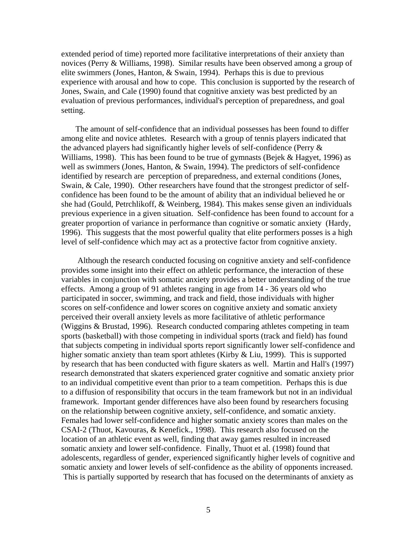extended period of time) reported more facilitative interpretations of their anxiety than novices (Perry & Williams, 1998). Similar results have been observed among a group of elite swimmers (Jones, Hanton, & Swain, 1994). Perhaps this is due to previous experience with arousal and how to cope. This conclusion is supported by the research of Jones, Swain, and Cale (1990) found that cognitive anxiety was best predicted by an evaluation of previous performances, individual's perception of preparedness, and goal setting.

 The amount of self-confidence that an individual possesses has been found to differ among elite and novice athletes. Research with a group of tennis players indicated that the advanced players had significantly higher levels of self-confidence (Perry & Williams, 1998). This has been found to be true of gymnasts (Bejek & Hagyet, 1996) as well as swimmers (Jones, Hanton, & Swain, 1994). The predictors of self-confidence identified by research are perception of preparedness, and external conditions (Jones, Swain, & Cale, 1990). Other researchers have found that the strongest predictor of selfconfidence has been found to be the amount of ability that an individual believed he or she had (Gould, Petrchlikoff, & Weinberg, 1984). This makes sense given an individuals previous experience in a given situation. Self-confidence has been found to account for a greater proportion of variance in performance than cognitive or somatic anxiety (Hardy, 1996). This suggests that the most powerful quality that elite performers posses is a high level of self-confidence which may act as a protective factor from cognitive anxiety.

 Although the research conducted focusing on cognitive anxiety and self-confidence provides some insight into their effect on athletic performance, the interaction of these variables in conjunction with somatic anxiety provides a better understanding of the true effects. Among a group of 91 athletes ranging in age from 14 - 36 years old who participated in soccer, swimming, and track and field, those individuals with higher scores on self-confidence and lower scores on cognitive anxiety and somatic anxiety perceived their overall anxiety levels as more facilitative of athletic performance (Wiggins & Brustad, 1996). Research conducted comparing athletes competing in team sports (basketball) with those competing in individual sports (track and field) has found that subjects competing in individual sports report significantly lower self-confidence and higher somatic anxiety than team sport athletes (Kirby & Liu, 1999). This is supported by research that has been conducted with figure skaters as well. Martin and Hall's (1997) research demonstrated that skaters experienced grater cognitive and somatic anxiety prior to an individual competitive event than prior to a team competition. Perhaps this is due to a diffusion of responsibility that occurs in the team framework but not in an individual framework. Important gender differences have also been found by researchers focusing on the relationship between cognitive anxiety, self-confidence, and somatic anxiety. Females had lower self-confidence and higher somatic anxiety scores than males on the CSAI-2 (Thuot, Kavouras, & Kenefick., 1998). This research also focused on the location of an athletic event as well, finding that away games resulted in increased somatic anxiety and lower self-confidence. Finally, Thuot et al. (1998) found that adolescents, regardless of gender, experienced significantly higher levels of cognitive and somatic anxiety and lower levels of self-confidence as the ability of opponents increased. This is partially supported by research that has focused on the determinants of anxiety as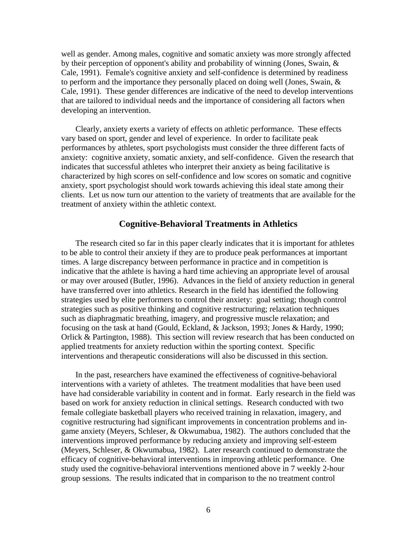well as gender. Among males, cognitive and somatic anxiety was more strongly affected by their perception of opponent's ability and probability of winning (Jones, Swain, & Cale, 1991). Female's cognitive anxiety and self-confidence is determined by readiness to perform and the importance they personally placed on doing well (Jones, Swain,  $\&$ Cale, 1991). These gender differences are indicative of the need to develop interventions that are tailored to individual needs and the importance of considering all factors when developing an intervention.

 Clearly, anxiety exerts a variety of effects on athletic performance. These effects vary based on sport, gender and level of experience. In order to facilitate peak performances by athletes, sport psychologists must consider the three different facts of anxiety: cognitive anxiety, somatic anxiety, and self-confidence. Given the research that indicates that successful athletes who interpret their anxiety as being facilitative is characterized by high scores on self-confidence and low scores on somatic and cognitive anxiety, sport psychologist should work towards achieving this ideal state among their clients. Let us now turn our attention to the variety of treatments that are available for the treatment of anxiety within the athletic context.

#### **Cognitive-Behavioral Treatments in Athletics**

 The research cited so far in this paper clearly indicates that it is important for athletes to be able to control their anxiety if they are to produce peak performances at important times. A large discrepancy between performance in practice and in competition is indicative that the athlete is having a hard time achieving an appropriate level of arousal or may over aroused (Butler, 1996). Advances in the field of anxiety reduction in general have transferred over into athletics. Research in the field has identified the following strategies used by elite performers to control their anxiety: goal setting; though control strategies such as positive thinking and cognitive restructuring; relaxation techniques such as diaphragmatic breathing, imagery, and progressive muscle relaxation; and focusing on the task at hand (Gould, Eckland, & Jackson, 1993; Jones & Hardy, 1990; Orlick & Partington, 1988). This section will review research that has been conducted on applied treatments for anxiety reduction within the sporting context. Specific interventions and therapeutic considerations will also be discussed in this section.

 In the past, researchers have examined the effectiveness of cognitive-behavioral interventions with a variety of athletes. The treatment modalities that have been used have had considerable variability in content and in format. Early research in the field was based on work for anxiety reduction in clinical settings. Research conducted with two female collegiate basketball players who received training in relaxation, imagery, and cognitive restructuring had significant improvements in concentration problems and ingame anxiety (Meyers, Schleser, & Okwumabua, 1982). The authors concluded that the interventions improved performance by reducing anxiety and improving self-esteem (Meyers, Schleser, & Okwumabua, 1982). Later research continued to demonstrate the efficacy of cognitive-behavioral interventions in improving athletic performance. One study used the cognitive-behavioral interventions mentioned above in 7 weekly 2-hour group sessions. The results indicated that in comparison to the no treatment control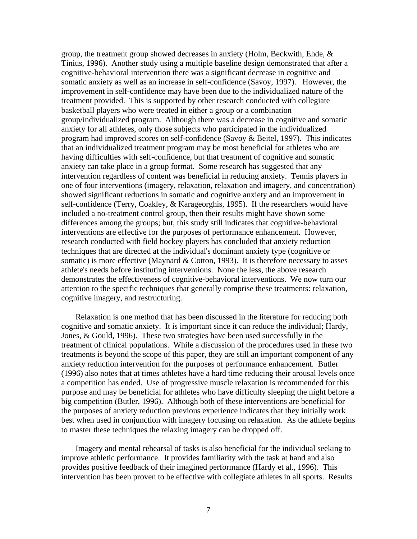group, the treatment group showed decreases in anxiety (Holm, Beckwith, Ehde, & Tinius, 1996). Another study using a multiple baseline design demonstrated that after a cognitive-behavioral intervention there was a significant decrease in cognitive and somatic anxiety as well as an increase in self-confidence (Savoy, 1997). However, the improvement in self-confidence may have been due to the individualized nature of the treatment provided. This is supported by other research conducted with collegiate basketball players who were treated in either a group or a combination group/individualized program. Although there was a decrease in cognitive and somatic anxiety for all athletes, only those subjects who participated in the individualized program had improved scores on self-confidence (Savoy & Beitel, 1997). This indicates that an individualized treatment program may be most beneficial for athletes who are having difficulties with self-confidence, but that treatment of cognitive and somatic anxiety can take place in a group format. Some research has suggested that any intervention regardless of content was beneficial in reducing anxiety. Tennis players in one of four interventions (imagery, relaxation, relaxation and imagery, and concentration) showed significant reductions in somatic and cognitive anxiety and an improvement in self-confidence (Terry, Coakley, & Karageorghis, 1995). If the researchers would have included a no-treatment control group, then their results might have shown some differences among the groups; but, this study still indicates that cognitive-behavioral interventions are effective for the purposes of performance enhancement. However, research conducted with field hockey players has concluded that anxiety reduction techniques that are directed at the individual's dominant anxiety type (cognitive or somatic) is more effective (Maynard  $&$  Cotton, 1993). It is therefore necessary to asses athlete's needs before instituting interventions. None the less, the above research demonstrates the effectiveness of cognitive-behavioral interventions. We now turn our attention to the specific techniques that generally comprise these treatments: relaxation, cognitive imagery, and restructuring.

 Relaxation is one method that has been discussed in the literature for reducing both cognitive and somatic anxiety. It is important since it can reduce the individual; Hardy, Jones, & Gould, 1996). These two strategies have been used successfully in the treatment of clinical populations. While a discussion of the procedures used in these two treatments is beyond the scope of this paper, they are still an important component of any anxiety reduction intervention for the purposes of performance enhancement. Butler (1996) also notes that at times athletes have a hard time reducing their arousal levels once a competition has ended. Use of progressive muscle relaxation is recommended for this purpose and may be beneficial for athletes who have difficulty sleeping the night before a big competition (Butler, 1996). Although both of these interventions are beneficial for the purposes of anxiety reduction previous experience indicates that they initially work best when used in conjunction with imagery focusing on relaxation. As the athlete begins to master these techniques the relaxing imagery can be dropped off.

 Imagery and mental rehearsal of tasks is also beneficial for the individual seeking to improve athletic performance. It provides familiarity with the task at hand and also provides positive feedback of their imagined performance (Hardy et al., 1996). This intervention has been proven to be effective with collegiate athletes in all sports. Results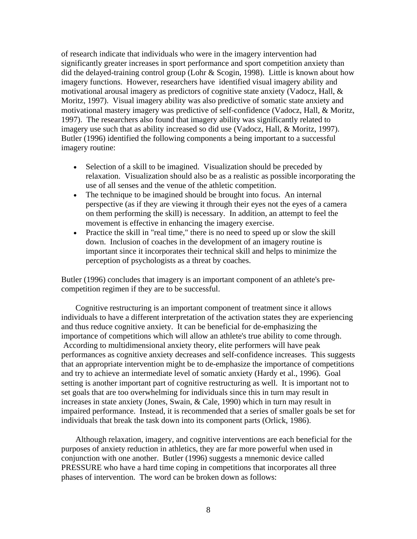of research indicate that individuals who were in the imagery intervention had significantly greater increases in sport performance and sport competition anxiety than did the delayed-training control group (Lohr & Scogin, 1998). Little is known about how imagery functions. However, researchers have identified visual imagery ability and motivational arousal imagery as predictors of cognitive state anxiety (Vadocz, Hall, & Moritz, 1997). Visual imagery ability was also predictive of somatic state anxiety and motivational mastery imagery was predictive of self-confidence (Vadocz, Hall, & Moritz, 1997). The researchers also found that imagery ability was significantly related to imagery use such that as ability increased so did use (Vadocz, Hall, & Moritz, 1997). Butler (1996) identified the following components a being important to a successful imagery routine:

- Selection of a skill to be imagined. Visualization should be preceded by relaxation. Visualization should also be as a realistic as possible incorporating the use of all senses and the venue of the athletic competition.
- The technique to be imagined should be brought into focus. An internal perspective (as if they are viewing it through their eyes not the eyes of a camera on them performing the skill) is necessary. In addition, an attempt to feel the movement is effective in enhancing the imagery exercise.
- Practice the skill in "real time," there is no need to speed up or slow the skill down. Inclusion of coaches in the development of an imagery routine is important since it incorporates their technical skill and helps to minimize the perception of psychologists as a threat by coaches.

Butler (1996) concludes that imagery is an important component of an athlete's precompetition regimen if they are to be successful.

 Cognitive restructuring is an important component of treatment since it allows individuals to have a different interpretation of the activation states they are experiencing and thus reduce cognitive anxiety. It can be beneficial for de-emphasizing the importance of competitions which will allow an athlete's true ability to come through. According to multidimensional anxiety theory, elite performers will have peak performances as cognitive anxiety decreases and self-confidence increases. This suggests that an appropriate intervention might be to de-emphasize the importance of competitions and try to achieve an intermediate level of somatic anxiety (Hardy et al., 1996). Goal setting is another important part of cognitive restructuring as well. It is important not to set goals that are too overwhelming for individuals since this in turn may result in increases in state anxiety (Jones, Swain, & Cale, 1990) which in turn may result in impaired performance. Instead, it is recommended that a series of smaller goals be set for individuals that break the task down into its component parts (Orlick, 1986).

 Although relaxation, imagery, and cognitive interventions are each beneficial for the purposes of anxiety reduction in athletics, they are far more powerful when used in conjunction with one another. Butler (1996) suggests a mnemonic device called PRESSURE who have a hard time coping in competitions that incorporates all three phases of intervention. The word can be broken down as follows: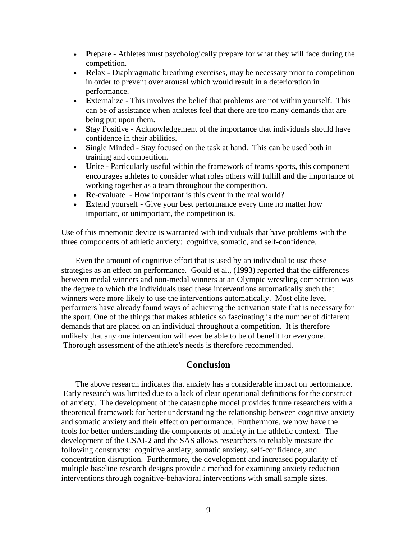- **Prepare Athletes must psychologically prepare for what they will face during the** competition.
- **Relax** Diaphragmatic breathing exercises, may be necessary prior to competition in order to prevent over arousal which would result in a deterioration in performance.
- **E**xternalize This involves the belief that problems are not within yourself. This can be of assistance when athletes feel that there are too many demands that are being put upon them.
- Stay Positive Acknowledgement of the importance that individuals should have confidence in their abilities.
- Single Minded Stay focused on the task at hand. This can be used both in training and competition.
- **U**nite Particularly useful within the framework of teams sports, this component encourages athletes to consider what roles others will fulfill and the importance of working together as a team throughout the competition.
- **R**e-evaluate How important is this event in the real world?
- **E**xtend yourself Give your best performance every time no matter how important, or unimportant, the competition is.

Use of this mnemonic device is warranted with individuals that have problems with the three components of athletic anxiety: cognitive, somatic, and self-confidence.

 Even the amount of cognitive effort that is used by an individual to use these strategies as an effect on performance. Gould et al., (1993) reported that the differences between medal winners and non-medal winners at an Olympic wrestling competition was the degree to which the individuals used these interventions automatically such that winners were more likely to use the interventions automatically. Most elite level performers have already found ways of achieving the activation state that is necessary for the sport. One of the things that makes athletics so fascinating is the number of different demands that are placed on an individual throughout a competition. It is therefore unlikely that any one intervention will ever be able to be of benefit for everyone. Thorough assessment of the athlete's needs is therefore recommended.

#### **Conclusion**

 The above research indicates that anxiety has a considerable impact on performance. Early research was limited due to a lack of clear operational definitions for the construct of anxiety. The development of the catastrophe model provides future researchers with a theoretical framework for better understanding the relationship between cognitive anxiety and somatic anxiety and their effect on performance. Furthermore, we now have the tools for better understanding the components of anxiety in the athletic context. The development of the CSAI-2 and the SAS allows researchers to reliably measure the following constructs: cognitive anxiety, somatic anxiety, self-confidence, and concentration disruption. Furthermore, the development and increased popularity of multiple baseline research designs provide a method for examining anxiety reduction interventions through cognitive-behavioral interventions with small sample sizes.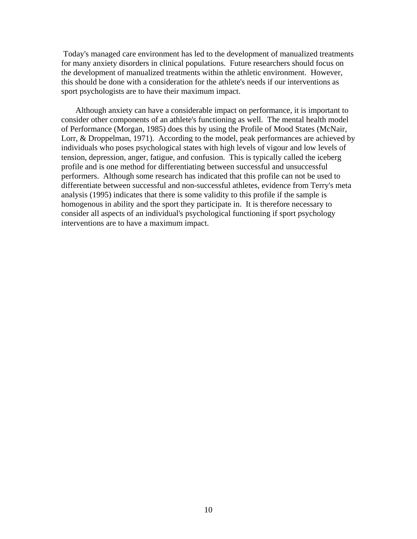Today's managed care environment has led to the development of manualized treatments for many anxiety disorders in clinical populations. Future researchers should focus on the development of manualized treatments within the athletic environment. However, this should be done with a consideration for the athlete's needs if our interventions as sport psychologists are to have their maximum impact.

 Although anxiety can have a considerable impact on performance, it is important to consider other components of an athlete's functioning as well. The mental health model of Performance (Morgan, 1985) does this by using the Profile of Mood States (McNair, Lorr, & Droppelman, 1971). According to the model, peak performances are achieved by individuals who poses psychological states with high levels of vigour and low levels of tension, depression, anger, fatigue, and confusion. This is typically called the iceberg profile and is one method for differentiating between successful and unsuccessful performers. Although some research has indicated that this profile can not be used to differentiate between successful and non-successful athletes, evidence from Terry's meta analysis (1995) indicates that there is some validity to this profile if the sample is homogenous in ability and the sport they participate in. It is therefore necessary to consider all aspects of an individual's psychological functioning if sport psychology interventions are to have a maximum impact.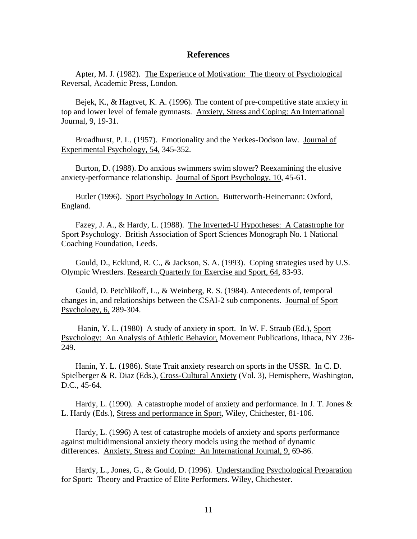#### **References**

 Apter, M. J. (1982). The Experience of Motivation: The theory of Psychological Reversal, Academic Press, London.

 Bejek, K., & Hagtvet, K. A. (1996). The content of pre-competitive state anxiety in top and lower level of female gymnasts. Anxiety, Stress and Coping: An International Journal, 9, 19-31.

 Broadhurst, P. L. (1957). Emotionality and the Yerkes-Dodson law. Journal of Experimental Psychology, 54, 345-352.

 Burton, D. (1988). Do anxious swimmers swim slower? Reexamining the elusive anxiety-performance relationship. Journal of Sport Psychology, 10, 45-61.

 Butler (1996). Sport Psychology In Action. Butterworth-Heinemann: Oxford, England.

 Fazey, J. A., & Hardy, L. (1988). The Inverted-U Hypotheses: A Catastrophe for Sport Psychology. British Association of Sport Sciences Monograph No. 1 National Coaching Foundation, Leeds.

 Gould, D., Ecklund, R. C., & Jackson, S. A. (1993). Coping strategies used by U.S. Olympic Wrestlers. Research Quarterly for Exercise and Sport, 64, 83-93.

 Gould, D. Petchlikoff, L., & Weinberg, R. S. (1984). Antecedents of, temporal changes in, and relationships between the CSAI-2 sub components. Journal of Sport Psychology, 6, 289-304.

 Hanin, Y. L. (1980) A study of anxiety in sport. In W. F. Straub (Ed.), Sport Psychology: An Analysis of Athletic Behavior, Movement Publications, Ithaca, NY 236- 249.

 Hanin, Y. L. (1986). State Trait anxiety research on sports in the USSR. In C. D. Spielberger & R. Diaz (Eds.), Cross-Cultural Anxiety (Vol. 3), Hemisphere, Washington, D.C., 45-64.

 Hardy, L. (1990). A catastrophe model of anxiety and performance. In J. T. Jones & L. Hardy (Eds.), Stress and performance in Sport, Wiley, Chichester, 81-106.

 Hardy, L. (1996) A test of catastrophe models of anxiety and sports performance against multidimensional anxiety theory models using the method of dynamic differences. Anxiety, Stress and Coping: An International Journal, 9, 69-86.

 Hardy, L., Jones, G., & Gould, D. (1996). Understanding Psychological Preparation for Sport: Theory and Practice of Elite Performers. Wiley, Chichester.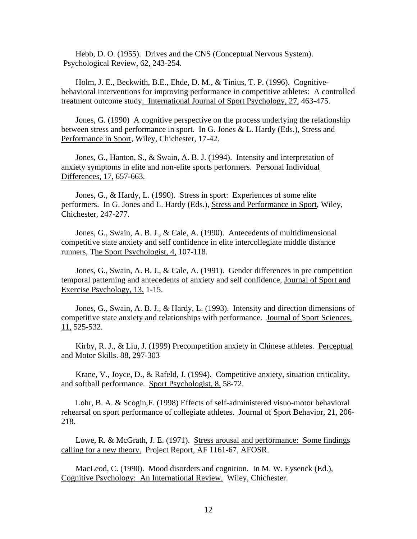Hebb, D. O. (1955). Drives and the CNS (Conceptual Nervous System). Psychological Review, 62, 243-254.

 Holm, J. E., Beckwith, B.E., Ehde, D. M., & Tinius, T. P. (1996). Cognitivebehavioral interventions for improving performance in competitive athletes: A controlled treatment outcome study. International Journal of Sport Psychology, 27, 463-475.

 Jones, G. (1990) A cognitive perspective on the process underlying the relationship between stress and performance in sport. In G. Jones & L. Hardy (Eds.), Stress and Performance in Sport, Wiley, Chichester, 17-42.

 Jones, G., Hanton, S., & Swain, A. B. J. (1994). Intensity and interpretation of anxiety symptoms in elite and non-elite sports performers. Personal Individual Differences, 17, 657-663.

 Jones, G., & Hardy, L. (1990). Stress in sport: Experiences of some elite performers. In G. Jones and L. Hardy (Eds.), Stress and Performance in Sport, Wiley, Chichester, 247-277.

 Jones, G., Swain, A. B. J., & Cale, A. (1990). Antecedents of multidimensional competitive state anxiety and self confidence in elite intercollegiate middle distance runners, The Sport Psychologist, 4, 107-118.

 Jones, G., Swain, A. B. J., & Cale, A. (1991). Gender differences in pre competition temporal patterning and antecedents of anxiety and self confidence, Journal of Sport and Exercise Psychology, 13, 1-15.

 Jones, G., Swain, A. B. J., & Hardy, L. (1993). Intensity and direction dimensions of competitive state anxiety and relationships with performance. Journal of Sport Sciences, 11, 525-532.

 Kirby, R. J., & Liu, J. (1999) Precompetition anxiety in Chinese athletes. Perceptual and Motor Skills. 88, 297-303

 Krane, V., Joyce, D., & Rafeld, J. (1994). Competitive anxiety, situation criticality, and softball performance. Sport Psychologist, 8, 58-72.

 Lohr, B. A. & Scogin,F. (1998) Effects of self-administered visuo-motor behavioral rehearsal on sport performance of collegiate athletes. Journal of Sport Behavior, 21, 206- 218.

 Lowe, R. & McGrath, J. E. (1971). Stress arousal and performance: Some findings calling for a new theory. Project Report, AF 1161-67, AFOSR.

 MacLeod, C. (1990). Mood disorders and cognition. In M. W. Eysenck (Ed.), Cognitive Psychology: An International Review. Wiley, Chichester.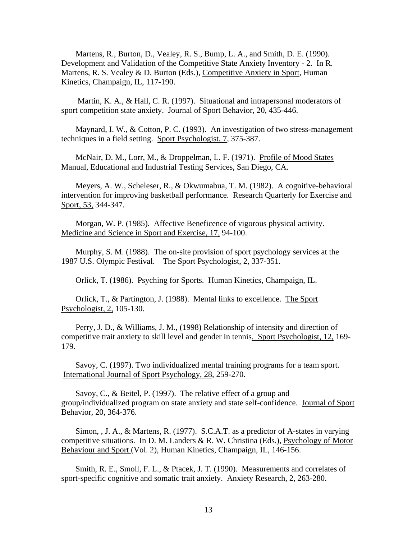Martens, R., Burton, D., Vealey, R. S., Bump, L. A., and Smith, D. E. (1990). Development and Validation of the Competitive State Anxiety Inventory - 2. In R. Martens, R. S. Vealey & D. Burton (Eds.), Competitive Anxiety in Sport, Human Kinetics, Champaign, IL, 117-190.

 Martin, K. A., & Hall, C. R. (1997). Situational and intrapersonal moderators of sport competition state anxiety. Journal of Sport Behavior, 20, 435-446.

 Maynard, I. W., & Cotton, P. C. (1993). An investigation of two stress-management techniques in a field setting. Sport Psychologist, 7, 375-387.

 McNair, D. M., Lorr, M., & Droppelman, L. F. (1971). Profile of Mood States Manual, Educational and Industrial Testing Services, San Diego, CA.

 Meyers, A. W., Scheleser, R., & Okwumabua, T. M. (1982). A cognitive-behavioral intervention for improving basketball performance. Research Quarterly for Exercise and Sport, 53, 344-347.

 Morgan, W. P. (1985). Affective Beneficence of vigorous physical activity. Medicine and Science in Sport and Exercise, 17, 94-100.

 Murphy, S. M. (1988). The on-site provision of sport psychology services at the 1987 U.S. Olympic Festival. The Sport Psychologist, 2, 337-351.

Orlick, T. (1986). Psyching for Sports. Human Kinetics, Champaign, IL.

 Orlick, T., & Partington, J. (1988). Mental links to excellence. The Sport Psychologist, 2, 105-130.

 Perry, J. D., & Williams, J. M., (1998) Relationship of intensity and direction of competitive trait anxiety to skill level and gender in tennis. Sport Psychologist, 12, 169- 179.

 Savoy, C. (1997). Two individualized mental training programs for a team sport. International Journal of Sport Psychology, 28, 259-270.

 Savoy, C., & Beitel, P. (1997). The relative effect of a group and group/individualized program on state anxiety and state self-confidence. Journal of Sport Behavior, 20, 364-376.

 Simon, , J. A., & Martens, R. (1977). S.C.A.T. as a predictor of A-states in varying competitive situations. In D. M. Landers  $\&$  R. W. Christina (Eds.), Psychology of Motor Behaviour and Sport (Vol. 2), Human Kinetics, Champaign, IL, 146-156.

 Smith, R. E., Smoll, F. L., & Ptacek, J. T. (1990). Measurements and correlates of sport-specific cognitive and somatic trait anxiety. Anxiety Research, 2, 263-280.